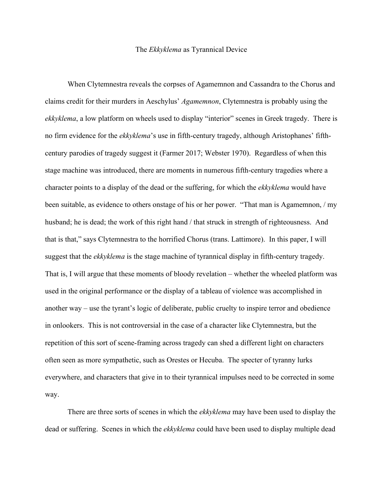## The *Ekkyklema* as Tyrannical Device

When Clytemnestra reveals the corpses of Agamemnon and Cassandra to the Chorus and claims credit for their murders in Aeschylus' *Agamemnon*, Clytemnestra is probably using the *ekkyklema*, a low platform on wheels used to display "interior" scenes in Greek tragedy. There is no firm evidence for the *ekkyklema*'s use in fifth-century tragedy, although Aristophanes' fifthcentury parodies of tragedy suggest it (Farmer 2017; Webster 1970). Regardless of when this stage machine was introduced, there are moments in numerous fifth-century tragedies where a character points to a display of the dead or the suffering, for which the *ekkyklema* would have been suitable, as evidence to others onstage of his or her power. "That man is Agamemnon, / my husband; he is dead; the work of this right hand / that struck in strength of righteousness. And that is that," says Clytemnestra to the horrified Chorus (trans. Lattimore). In this paper, I will suggest that the *ekkyklema* is the stage machine of tyrannical display in fifth-century tragedy. That is, I will argue that these moments of bloody revelation – whether the wheeled platform was used in the original performance or the display of a tableau of violence was accomplished in another way – use the tyrant's logic of deliberate, public cruelty to inspire terror and obedience in onlookers. This is not controversial in the case of a character like Clytemnestra, but the repetition of this sort of scene-framing across tragedy can shed a different light on characters often seen as more sympathetic, such as Orestes or Hecuba. The specter of tyranny lurks everywhere, and characters that give in to their tyrannical impulses need to be corrected in some way.

There are three sorts of scenes in which the *ekkyklema* may have been used to display the dead or suffering. Scenes in which the *ekkyklema* could have been used to display multiple dead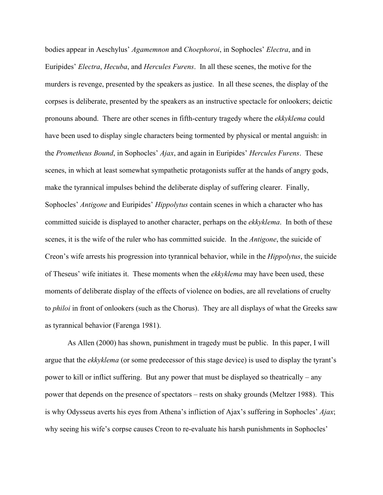bodies appear in Aeschylus' *Agamemnon* and *Choephoroi*, in Sophocles' *Electra*, and in Euripides' *Electra*, *Hecuba*, and *Hercules Furens*. In all these scenes, the motive for the murders is revenge, presented by the speakers as justice. In all these scenes, the display of the corpses is deliberate, presented by the speakers as an instructive spectacle for onlookers; deictic pronouns abound. There are other scenes in fifth-century tragedy where the *ekkyklema* could have been used to display single characters being tormented by physical or mental anguish: in the *Prometheus Bound*, in Sophocles' *Ajax*, and again in Euripides' *Hercules Furens*. These scenes, in which at least somewhat sympathetic protagonists suffer at the hands of angry gods, make the tyrannical impulses behind the deliberate display of suffering clearer. Finally, Sophocles' *Antigone* and Euripides' *Hippolytus* contain scenes in which a character who has committed suicide is displayed to another character, perhaps on the *ekkyklema*. In both of these scenes, it is the wife of the ruler who has committed suicide. In the *Antigone*, the suicide of Creon's wife arrests his progression into tyrannical behavior, while in the *Hippolytus*, the suicide of Theseus' wife initiates it. These moments when the *ekkyklema* may have been used, these moments of deliberate display of the effects of violence on bodies, are all revelations of cruelty to *philoi* in front of onlookers (such as the Chorus). They are all displays of what the Greeks saw as tyrannical behavior (Farenga 1981).

As Allen (2000) has shown, punishment in tragedy must be public. In this paper, I will argue that the *ekkyklema* (or some predecessor of this stage device) is used to display the tyrant's power to kill or inflict suffering. But any power that must be displayed so theatrically – any power that depends on the presence of spectators – rests on shaky grounds (Meltzer 1988). This is why Odysseus averts his eyes from Athena's infliction of Ajax's suffering in Sophocles' *Ajax*; why seeing his wife's corpse causes Creon to re-evaluate his harsh punishments in Sophocles'